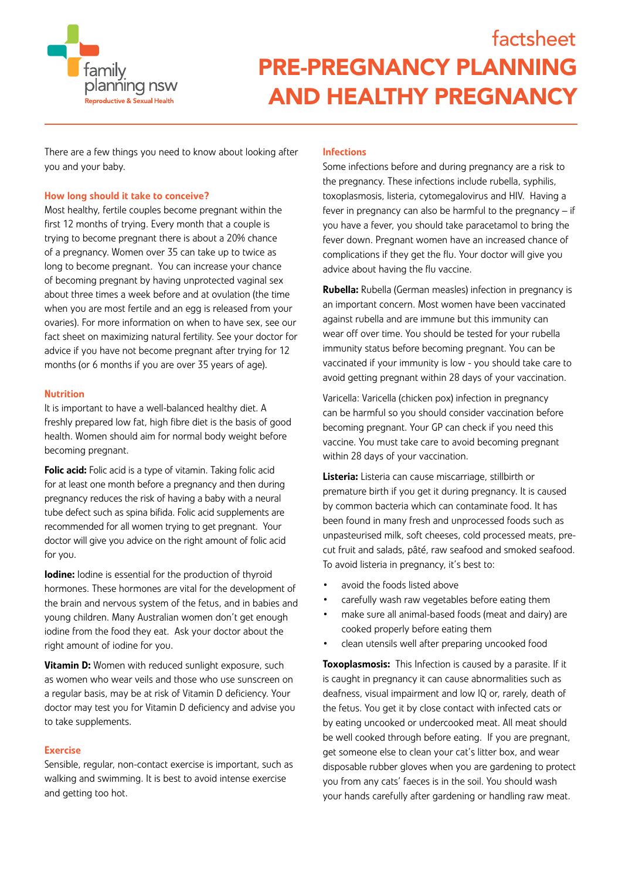

There are a few things you need to know about looking after you and your baby.

# How long should it take to conceive?

Most healthy, fertile couples become pregnant within the first 12 months of trying. Every month that a couple is trying to become pregnant there is about a 20% chance of a pregnancy. Women over 35 can take up to twice as long to become pregnant. You can increase your chance of becoming pregnant by having unprotected vaginal sex about three times a week before and at ovulation (the time when you are most fertile and an egg is released from your ovaries). For more information on when to have sex, see our fact sheet on maximizing natural fertility. See your doctor for advice if you have not become pregnant after trying for 12 months (or 6 months if you are over 35 years of age).

## Nutrition

It is important to have a well-balanced healthy diet. A freshly prepared low fat, high fibre diet is the basis of good health. Women should aim for normal body weight before becoming pregnant.

Folic acid: Folic acid is a type of vitamin. Taking folic acid for at least one month before a pregnancy and then during pregnancy reduces the risk of having a baby with a neural tube defect such as spina bifida. Folic acid supplements are recommended for all women trying to get pregnant. Your doctor will give you advice on the right amount of folic acid for you.

**Iodine:** Iodine is essential for the production of thyroid hormones. These hormones are vital for the development of the brain and nervous system of the fetus, and in babies and young children. Many Australian women don't get enough iodine from the food they eat. Ask your doctor about the right amount of iodine for you.

**Vitamin D:** Women with reduced sunlight exposure, such as women who wear veils and those who use sunscreen on a regular basis, may be at risk of Vitamin D deficiency. Your doctor may test you for Vitamin D deficiency and advise you to take supplements.

## Exercise

Sensible, regular, non-contact exercise is important, such as walking and swimming. It is best to avoid intense exercise and getting too hot.

# **Infections**

Some infections before and during pregnancy are a risk to the pregnancy. These infections include rubella, syphilis, toxoplasmosis, listeria, cytomegalovirus and HIV. Having a fever in pregnancy can also be harmful to the pregnancy – if you have a fever, you should take paracetamol to bring the fever down. Pregnant women have an increased chance of complications if they get the flu. Your doctor will give you advice about having the flu vaccine.

Rubella: Rubella (German measles) infection in pregnancy is an important concern. Most women have been vaccinated against rubella and are immune but this immunity can wear off over time. You should be tested for your rubella immunity status before becoming pregnant. You can be vaccinated if your immunity is low - you should take care to avoid getting pregnant within 28 days of your vaccination.

Varicella: Varicella (chicken pox) infection in pregnancy can be harmful so you should consider vaccination before becoming pregnant. Your GP can check if you need this vaccine. You must take care to avoid becoming pregnant within 28 days of your vaccination.

Listeria: Listeria can cause miscarriage, stillbirth or premature birth if you get it during pregnancy. It is caused by common bacteria which can contaminate food. It has been found in many fresh and unprocessed foods such as unpasteurised milk, soft cheeses, cold processed meats, precut fruit and salads, pâté, raw seafood and smoked seafood. To avoid listeria in pregnancy, it's best to:

- avoid the foods listed above
- carefully wash raw vegetables before eating them
- make sure all animal-based foods (meat and dairy) are cooked properly before eating them
- clean utensils well after preparing uncooked food

Toxoplasmosis: This Infection is caused by a parasite. If it is caught in pregnancy it can cause abnormalities such as deafness, visual impairment and low IQ or, rarely, death of the fetus. You get it by close contact with infected cats or by eating uncooked or undercooked meat. All meat should be well cooked through before eating. If you are pregnant, get someone else to clean your cat's litter box, and wear disposable rubber gloves when you are gardening to protect you from any cats' faeces is in the soil. You should wash your hands carefully after gardening or handling raw meat.